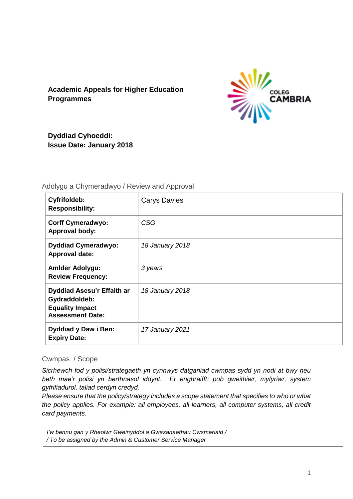# **Academic Appeals for Higher Education Programmes**



**Dyddiad Cyhoeddi: Issue Date: January 2018**

## Adolygu a Chymeradwyo / Review and Approval

| <b>Cyfrifoldeb:</b><br><b>Responsibility:</b>                                                    | <b>Carys Davies</b> |
|--------------------------------------------------------------------------------------------------|---------------------|
| <b>Corff Cymeradwyo:</b><br><b>Approval body:</b>                                                | <b>CSG</b>          |
| <b>Dyddiad Cymeradwyo:</b><br><b>Approval date:</b>                                              | 18 January 2018     |
| <b>Amlder Adolygu:</b><br><b>Review Frequency:</b>                                               | 3 years             |
| Dyddiad Asesu'r Effaith ar<br>Gydraddoldeb:<br><b>Equality Impact</b><br><b>Assessment Date:</b> | 18 January 2018     |
| <b>Dyddiad y Daw i Ben:</b><br><b>Expiry Date:</b>                                               | 17 January 2021     |

## Cwmpas / Scope

*Sicrhewch fod y polisi/strategaeth yn cynnwys datganiad cwmpas sydd yn nodi at bwy neu beth mae'r polisi yn berthnasol iddynt. Er enghraifft: pob gweithiwr, myfyriwr, system gyfrifiadurol, taliad cerdyn credyd.*

*Please ensure that the policy/strategy includes a scope statement that specifies to who or what the policy applies. For example: all employees, all learners, all computer systems, all credit card payments.*

*I'w bennu gan y Rheolwr Gweinyddol a Gwasanaethau Cwsmeriaid / / To be assigned by the Admin & Customer Service Manager*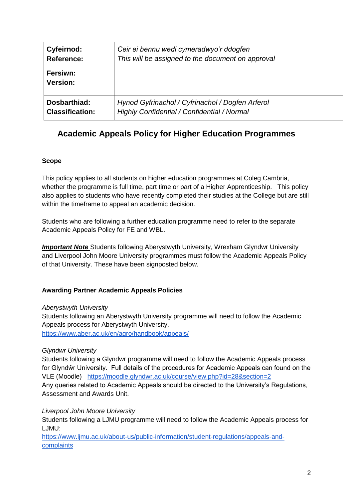| Cyfeirnod:                  | Ceir ei bennu wedi cymeradwyo'r ddogfen            |
|-----------------------------|----------------------------------------------------|
| Reference:                  | This will be assigned to the document on approval  |
| Fersiwn:<br><b>Version:</b> |                                                    |
| Dosbarthiad:                | Hynod Gyfrinachol / Cyfrinachol / Dogfen Arferol   |
| <b>Classification:</b>      | <b>Highly Confidential / Confidential / Normal</b> |

# **Academic Appeals Policy for Higher Education Programmes**

## **Scope**

This policy applies to all students on higher education programmes at Coleg Cambria, whether the programme is full time, part time or part of a Higher Apprenticeship. This policy also applies to students who have recently completed their studies at the College but are still within the timeframe to appeal an academic decision.

Students who are following a further education programme need to refer to the separate Academic Appeals Policy for FE and WBL.

**Important Note** Students following Aberystwyth University, Wrexham Glyndwr University and Liverpool John Moore University programmes must follow the Academic Appeals Policy of that University. These have been signposted below.

## **Awarding Partner Academic Appeals Policies**

#### *Aberystwyth University*

Students following an Aberystwyth University programme will need to follow the Academic Appeals process for Aberystwyth University. <https://www.aber.ac.uk/en/aqro/handbook/appeals/>

## *Glyndwr University*

Students following a Glyndwr programme will need to follow the Academic Appeals process for Glyndŵr University. Full details of the procedures for Academic Appeals can found on the VLE (Moodle) https://moodle.glyndwr.ac.uk/course/view.php?id=28&section=2 Any queries related to Academic Appeals should be directed to the University's Regulations, Assessment and Awards Unit.

## *Liverpool John Moore University*

Students following a LJMU programme will need to follow the Academic Appeals process for LJMU:

[https://www.ljmu.ac.uk/about-us/public-information/student-regulations/appeals-and](https://www.ljmu.ac.uk/about-us/public-information/student-regulations/appeals-and-complaints)[complaints](https://www.ljmu.ac.uk/about-us/public-information/student-regulations/appeals-and-complaints)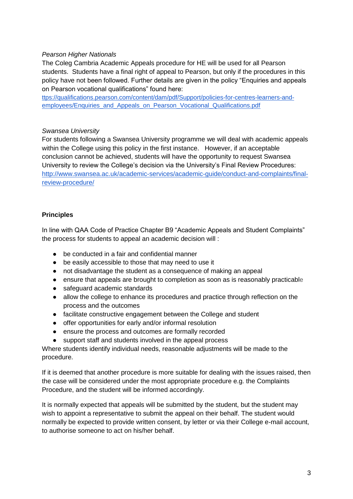#### *Pearson Higher Nationals*

The Coleg Cambria Academic Appeals procedure for HE will be used for all Pearson students. Students have a final right of appeal to Pearson, but only if the procedures in this policy have not been followed. Further details are given in the policy "Enquiries and appeals on Pearson vocational qualifications" found here:

[ttps://qualifications.pearson.com/content/dam/pdf/Support/policies-for-centres-learners-and](https://qualifications.pearson.com/content/dam/pdf/Support/policies-for-centres-learners-and-employees/Enquiries_and_Appeals_on_Pearson_Vocational_Qualifications.pdf)[employees/Enquiries\\_and\\_Appeals\\_on\\_Pearson\\_Vocational\\_Qualifications.pdf](https://qualifications.pearson.com/content/dam/pdf/Support/policies-for-centres-learners-and-employees/Enquiries_and_Appeals_on_Pearson_Vocational_Qualifications.pdf)

#### *Swansea University*

For students following a Swansea University programme we will deal with academic appeals within the College using this policy in the first instance. However, if an acceptable conclusion cannot be achieved, students will have the opportunity to request Swansea University to review the College's decision via the University's Final Review Procedures: [http://www.swansea.ac.uk/academic-services/academic-guide/conduct-and-complaints/final](http://www.swansea.ac.uk/academic-services/academic-guide/conduct-and-complaints/final-review-procedure/)[review-procedure/](http://www.swansea.ac.uk/academic-services/academic-guide/conduct-and-complaints/final-review-procedure/)

#### **Principles**

In line with QAA Code of Practice Chapter B9 "Academic Appeals and Student Complaints" the process for students to appeal an academic decision will :

- be conducted in a fair and confidential manner
- be easily accessible to those that may need to use it
- not disadvantage the student as a consequence of making an appeal
- ensure that appeals are brought to completion as soon as is reasonably practicable
- safeguard academic standards
- allow the college to enhance its procedures and practice through reflection on the process and the outcomes
- facilitate constructive engagement between the College and student
- offer opportunities for early and/or informal resolution
- ensure the process and outcomes are formally recorded
- support staff and students involved in the appeal process

Where students identify individual needs, reasonable adjustments will be made to the procedure.

If it is deemed that another procedure is more suitable for dealing with the issues raised, then the case will be considered under the most appropriate procedure e.g. the Complaints Procedure, and the student will be informed accordingly.

It is normally expected that appeals will be submitted by the student, but the student may wish to appoint a representative to submit the appeal on their behalf. The student would normally be expected to provide written consent, by letter or via their College e-mail account, to authorise someone to act on his/her behalf.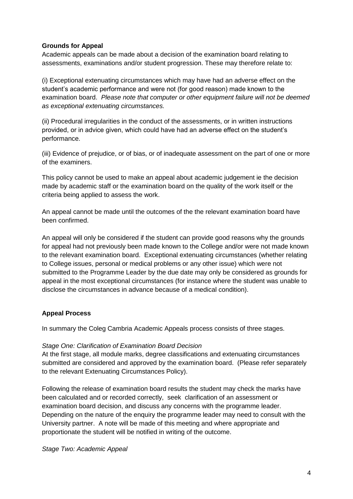#### **Grounds for Appeal**

Academic appeals can be made about a decision of the examination board relating to assessments, examinations and/or student progression. These may therefore relate to:

(i) Exceptional extenuating circumstances which may have had an adverse effect on the student's academic performance and were not (for good reason) made known to the examination board. *Please note that computer or other equipment failure will not be deemed as exceptional extenuating circumstances.* 

(ii) Procedural irregularities in the conduct of the assessments, or in written instructions provided, or in advice given, which could have had an adverse effect on the student's performance.

(iii) Evidence of prejudice, or of bias, or of inadequate assessment on the part of one or more of the examiners.

This policy cannot be used to make an appeal about academic judgement ie the decision made by academic staff or the examination board on the quality of the work itself or the criteria being applied to assess the work.

An appeal cannot be made until the outcomes of the the relevant examination board have been confirmed.

An appeal will only be considered if the student can provide good reasons why the grounds for appeal had not previously been made known to the College and/or were not made known to the relevant examination board. Exceptional extenuating circumstances (whether relating to College issues, personal or medical problems or any other issue) which were not submitted to the Programme Leader by the due date may only be considered as grounds for appeal in the most exceptional circumstances (for instance where the student was unable to disclose the circumstances in advance because of a medical condition).

## **Appeal Process**

In summary the Coleg Cambria Academic Appeals process consists of three stages.

#### *Stage One: Clarification of Examination Board Decision*

At the first stage, all module marks, degree classifications and extenuating circumstances submitted are considered and approved by the examination board. (Please refer separately to the relevant Extenuating Circumstances Policy).

Following the release of examination board results the student may check the marks have been calculated and or recorded correctly, seek clarification of an assessment or examination board decision, and discuss any concerns with the programme leader. Depending on the nature of the enquiry the programme leader may need to consult with the University partner. A note will be made of this meeting and where appropriate and proportionate the student will be notified in writing of the outcome.

*Stage Two: Academic Appeal*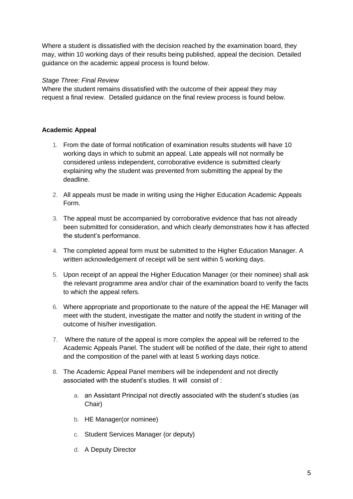Where a student is dissatisfied with the decision reached by the examination board, they may, within 10 working days of their results being published, appeal the decision. Detailed guidance on the academic appeal process is found below.

## *Stage Three: Final Review*

Where the student remains dissatisfied with the outcome of their appeal they may request a final review. Detailed guidance on the final review process is found below.

## **Academic Appeal**

- 1. From the date of formal notification of examination results students will have 10 working days in which to submit an appeal. Late appeals will not normally be considered unless independent, corroborative evidence is submitted clearly explaining why the student was prevented from submitting the appeal by the deadline.
- 2. All appeals must be made in writing using the Higher Education Academic Appeals Form.
- 3. The appeal must be accompanied by corroborative evidence that has not already been submitted for consideration, and which clearly demonstrates how it has affected the student's performance.
- 4. The completed appeal form must be submitted to the Higher Education Manager. A written acknowledgement of receipt will be sent within 5 working days.
- 5. Upon receipt of an appeal the Higher Education Manager (or their nominee) shall ask the relevant programme area and/or chair of the examination board to verify the facts to which the appeal refers.
- 6. Where appropriate and proportionate to the nature of the appeal the HE Manager will meet with the student, investigate the matter and notify the student in writing of the outcome of his/her investigation.
- 7. Where the nature of the appeal is more complex the appeal will be referred to the Academic Appeals Panel. The student will be notified of the date, their right to attend and the composition of the panel with at least 5 working days notice.
- 8. The Academic Appeal Panel members will be independent and not directly associated with the student's studies. It will consist of :
	- a. an Assistant Principal not directly associated with the student's studies (as Chair)
	- b. HE Manager(or nominee)
	- c. Student Services Manager (or deputy)
	- d. A Deputy Director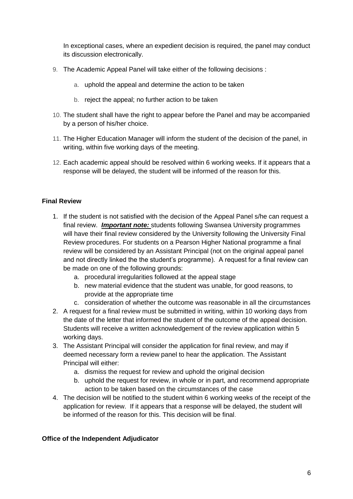In exceptional cases, where an expedient decision is required, the panel may conduct its discussion electronically.

- 9. The Academic Appeal Panel will take either of the following decisions :
	- a. uphold the appeal and determine the action to be taken
	- b. reject the appeal; no further action to be taken
- 10. The student shall have the right to appear before the Panel and may be accompanied by a person of his/her choice.
- 11. The Higher Education Manager will inform the student of the decision of the panel, in writing, within five working days of the meeting.
- 12. Each academic appeal should be resolved within 6 working weeks. If it appears that a response will be delayed, the student will be informed of the reason for this.

#### **Final Review**

- 1. If the student is not satisfied with the decision of the Appeal Panel s/he can request a final review. *Important note:* students following Swansea University programmes will have their final review considered by the University following the University Final Review procedures. For students on a Pearson Higher National programme a final review will be considered by an Assistant Principal (not on the original appeal panel and not directly linked the the student's programme). A request for a final review can be made on one of the following grounds:
	- a. procedural irregularities followed at the appeal stage
	- b. new material evidence that the student was unable, for good reasons, to provide at the appropriate time
	- c. consideration of whether the outcome was reasonable in all the circumstances
- 2. A request for a final review must be submitted in writing, within 10 working days from the date of the letter that informed the student of the outcome of the appeal decision. Students will receive a written acknowledgement of the review application within 5 working days.
- 3. The Assistant Principal will consider the application for final review, and may if deemed necessary form a review panel to hear the application. The Assistant Principal will either:
	- a. dismiss the request for review and uphold the original decision
	- b. uphold the request for review, in whole or in part, and recommend appropriate action to be taken based on the circumstances of the case
- 4. The decision will be notified to the student within 6 working weeks of the receipt of the application for review. If it appears that a response will be delayed, the student will be informed of the reason for this. This decision will be final.

#### **Office of the Independent Adjudicator**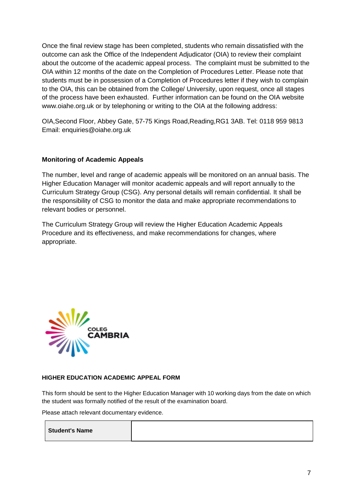Once the final review stage has been completed, students who remain dissatisfied with the outcome can ask the Office of the Independent Adjudicator (OIA) to review their complaint about the outcome of the academic appeal process. The complaint must be submitted to the OIA within 12 months of the date on the Completion of Procedures Letter. Please note that students must be in possession of a Completion of Procedures letter if they wish to complain to the OIA, this can be obtained from the College/ University, upon request, once all stages of the process have been exhausted. Further information can be found on the OIA website www.oiahe.org.uk or by telephoning or writing to the OIA at the following address:

OIA,Second Floor, Abbey Gate, 57-75 Kings Road,Reading,RG1 3AB. Tel: 0118 959 9813 Email: [enquiries@oiahe.org.uk](mailto:enquiries@oiahe.org.uk)

#### **Monitoring of Academic Appeals**

The number, level and range of academic appeals will be monitored on an annual basis. The Higher Education Manager will monitor academic appeals and will report annually to the Curriculum Strategy Group (CSG). Any personal details will remain confidential. It shall be the responsibility of CSG to monitor the data and make appropriate recommendations to relevant bodies or personnel.

The Curriculum Strategy Group will review the Higher Education Academic Appeals Procedure and its effectiveness, and make recommendations for changes, where appropriate.



#### **HIGHER EDUCATION ACADEMIC APPEAL FORM**

This form should be sent to the Higher Education Manager with 10 working days from the date on which the student was formally notified of the result of the examination board.

Please attach relevant documentary evidence.

|--|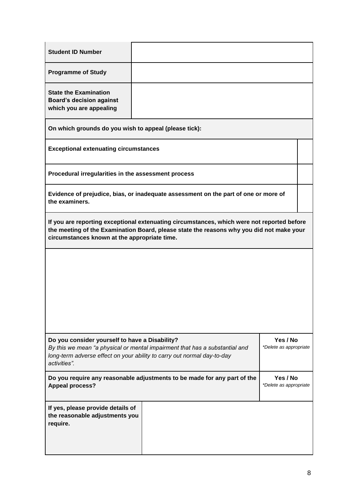| <b>Student ID Number</b>                                                                                                                                                                                                               |                                    |  |                                    |  |  |
|----------------------------------------------------------------------------------------------------------------------------------------------------------------------------------------------------------------------------------------|------------------------------------|--|------------------------------------|--|--|
| <b>Programme of Study</b>                                                                                                                                                                                                              |                                    |  |                                    |  |  |
| <b>State the Examination</b><br><b>Board's decision against</b><br>which you are appealing                                                                                                                                             |                                    |  |                                    |  |  |
| On which grounds do you wish to appeal (please tick):                                                                                                                                                                                  |                                    |  |                                    |  |  |
| <b>Exceptional extenuating circumstances</b>                                                                                                                                                                                           |                                    |  |                                    |  |  |
| Procedural irregularities in the assessment process                                                                                                                                                                                    |                                    |  |                                    |  |  |
| Evidence of prejudice, bias, or inadequate assessment on the part of one or more of<br>the examiners.                                                                                                                                  |                                    |  |                                    |  |  |
| If you are reporting exceptional extenuating circumstances, which were not reported before<br>the meeting of the Examination Board, please state the reasons why you did not make your<br>circumstances known at the appropriate time. |                                    |  |                                    |  |  |
|                                                                                                                                                                                                                                        |                                    |  |                                    |  |  |
| Do you consider yourself to have a Disability?<br>By this we mean "a physical or mental impairment that has a substantial and<br>long-term adverse effect on your ability to carry out normal day-to-day<br>activities".               |                                    |  | Yes / No<br>*Delete as appropriate |  |  |
| Do you require any reasonable adjustments to be made for any part of the<br><b>Appeal process?</b>                                                                                                                                     | Yes / No<br>*Delete as appropriate |  |                                    |  |  |
| If yes, please provide details of<br>the reasonable adjustments you<br>require.                                                                                                                                                        |                                    |  |                                    |  |  |